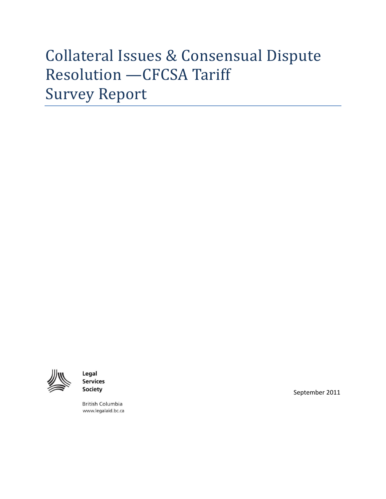# Collateral Issues & Consensual Dispute Resolution —CFCSA Tariff Survey Report



Legal **Services Society** 

**British Columbia** www.legalaid.bc.ca September 2011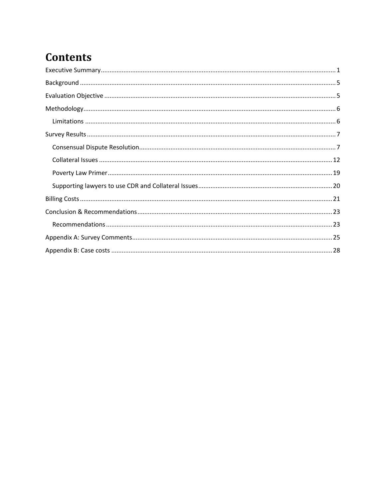## **Contents**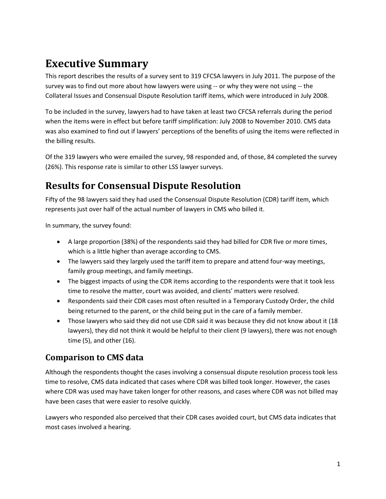## <span id="page-2-0"></span>**Executive Summary**

This report describes the results of a survey sent to 319 CFCSA lawyers in July 2011. The purpose of the survey was to find out more about how lawyers were using -- or why they were not using -- the Collateral Issues and Consensual Dispute Resolution tariff items, which were introduced in July 2008.

To be included in the survey, lawyers had to have taken at least two CFCSA referrals during the period when the items were in effect but before tariff simplification: July 2008 to November 2010. CMS data was also examined to find out if lawyers' perceptions of the benefits of using the items were reflected in the billing results.

Of the 319 lawyers who were emailed the survey, 98 responded and, of those, 84 completed the survey (26%). This response rate is similar to other LSS lawyer surveys.

## **Results for Consensual Dispute Resolution**

Fifty of the 98 lawyers said they had used the Consensual Dispute Resolution (CDR) tariff item, which represents just over half of the actual number of lawyers in CMS who billed it.

In summary, the survey found:

- A large proportion (38%) of the respondents said they had billed for CDR five or more times, which is a little higher than average according to CMS.
- The lawyers said they largely used the tariff item to prepare and attend four-way meetings, family group meetings, and family meetings.
- The biggest impacts of using the CDR items according to the respondents were that it took less time to resolve the matter, court was avoided, and clients' matters were resolved.
- Respondents said their CDR cases most often resulted in a Temporary Custody Order, the child being returned to the parent, or the child being put in the care of a family member.
- Those lawyers who said they did not use CDR said it was because they did not know about it (18 lawyers), they did not think it would be helpful to their client (9 lawyers), there was not enough time (5), and other (16).

### **Comparison to CMS data**

Although the respondents thought the cases involving a consensual dispute resolution process took less time to resolve, CMS data indicated that cases where CDR was billed took longer. However, the cases where CDR was used may have taken longer for other reasons, and cases where CDR was not billed may have been cases that were easier to resolve quickly.

Lawyers who responded also perceived that their CDR cases avoided court, but CMS data indicates that most cases involved a hearing.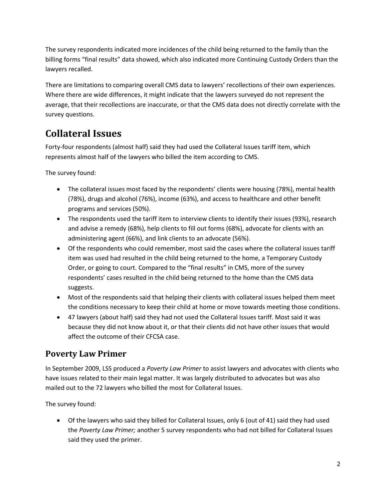The survey respondents indicated more incidences of the child being returned to the family than the billing forms "final results" data showed, which also indicated more Continuing Custody Orders than the lawyers recalled.

There are limitations to comparing overall CMS data to lawyers' recollections of their own experiences. Where there are wide differences, it might indicate that the lawyers surveyed do not represent the average, that their recollections are inaccurate, or that the CMS data does not directly correlate with the survey questions.

## **Collateral Issues**

Forty-four respondents (almost half) said they had used the Collateral Issues tariff item, which represents almost half of the lawyers who billed the item according to CMS.

The survey found:

- The collateral issues most faced by the respondents' clients were housing (78%), mental health (78%), drugs and alcohol (76%), income (63%), and access to healthcare and other benefit programs and services (50%).
- The respondents used the tariff item to interview clients to identify their issues (93%), research and advise a remedy (68%), help clients to fill out forms (68%), advocate for clients with an administering agent (66%), and link clients to an advocate (56%).
- Of the respondents who could remember, most said the cases where the collateral issues tariff item was used had resulted in the child being returned to the home, a Temporary Custody Order, or going to court. Compared to the "final results" in CMS, more of the survey respondents' cases resulted in the child being returned to the home than the CMS data suggests.
- Most of the respondents said that helping their clients with collateral issues helped them meet the conditions necessary to keep their child at home or move towards meeting those conditions.
- 47 lawyers (about half) said they had not used the Collateral Issues tariff. Most said it was because they did not know about it, or that their clients did not have other issues that would affect the outcome of their CFCSA case.

### **Poverty Law Primer**

In September 2009, LSS produced a *Poverty Law Primer* to assist lawyers and advocates with clients who have issues related to their main legal matter. It was largely distributed to advocates but was also mailed out to the 72 lawyers who billed the most for Collateral Issues.

The survey found:

 Of the lawyers who said they billed for Collateral Issues, only 6 (out of 41) said they had used the *Poverty Law Primer;* another 5 survey respondents who had not billed for Collateral Issues said they used the primer.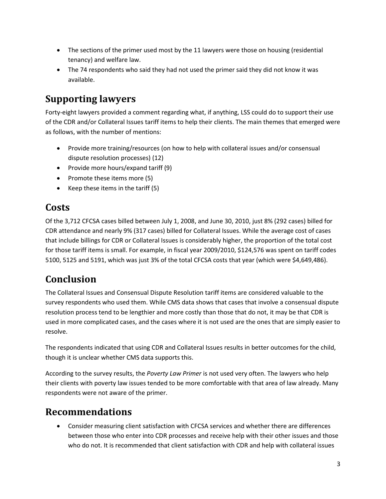- The sections of the primer used most by the 11 lawyers were those on housing (residential tenancy) and welfare law.
- The 74 respondents who said they had not used the primer said they did not know it was available.

## **Supporting lawyers**

Forty-eight lawyers provided a comment regarding what, if anything, LSS could do to support their use of the CDR and/or Collateral Issues tariff items to help their clients. The main themes that emerged were as follows, with the number of mentions:

- Provide more training/resources (on how to help with collateral issues and/or consensual dispute resolution processes) (12)
- Provide more hours/expand tariff (9)
- Promote these items more (5)
- Exempt Keep these items in the tariff  $(5)$

### **Costs**

Of the 3,712 CFCSA cases billed between July 1, 2008, and June 30, 2010, just 8% (292 cases) billed for CDR attendance and nearly 9% (317 cases) billed for Collateral Issues. While the average cost of cases that include billings for CDR or Collateral Issues is considerably higher, the proportion of the total cost for those tariff items is small. For example, in fiscal year 2009/2010, \$124,576 was spent on tariff codes 5100, 5125 and 5191, which was just 3% of the total CFCSA costs that year (which were \$4,649,486).

## **Conclusion**

The Collateral Issues and Consensual Dispute Resolution tariff items are considered valuable to the survey respondents who used them. While CMS data shows that cases that involve a consensual dispute resolution process tend to be lengthier and more costly than those that do not, it may be that CDR is used in more complicated cases, and the cases where it is not used are the ones that are simply easier to resolve.

The respondents indicated that using CDR and Collateral Issues results in better outcomes for the child, though it is unclear whether CMS data supports this.

According to the survey results, the *Poverty Law Primer* is not used very often. The lawyers who help their clients with poverty law issues tended to be more comfortable with that area of law already. Many respondents were not aware of the primer.

### **Recommendations**

 Consider measuring client satisfaction with CFCSA services and whether there are differences between those who enter into CDR processes and receive help with their other issues and those who do not. It is recommended that client satisfaction with CDR and help with collateral issues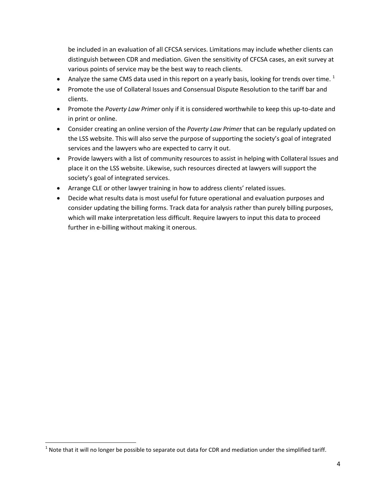be included in an evaluation of all CFCSA services. Limitations may include whether clients can distinguish between CDR and mediation. Given the sensitivity of CFCSA cases, an exit survey at various points of service may be the best way to reach clients.

- Analyze the same CMS data used in this report on a yearly basis, looking for trends over time.  $1$
- Promote the use of Collateral Issues and Consensual Dispute Resolution to the tariff bar and clients.
- Promote the *Poverty Law Primer* only if it is considered worthwhile to keep this up-to-date and in print or online.
- Consider creating an online version of the *Poverty Law Primer* that can be regularly updated on the LSS website. This will also serve the purpose of supporting the society's goal of integrated services and the lawyers who are expected to carry it out.
- Provide lawyers with a list of community resources to assist in helping with Collateral Issues and place it on the LSS website. Likewise, such resources directed at lawyers will support the society's goal of integrated services.
- Arrange CLE or other lawyer training in how to address clients' related issues.
- Decide what results data is most useful for future operational and evaluation purposes and consider updating the billing forms. Track data for analysis rather than purely billing purposes, which will make interpretation less difficult. Require lawyers to input this data to proceed further in e-billing without making it onerous.

 $\overline{\phantom{a}}$ 

 $^1$  Note that it will no longer be possible to separate out data for CDR and mediation under the simplified tariff.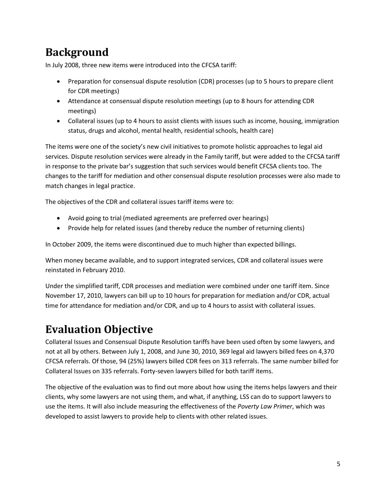## <span id="page-6-0"></span>**Background**

In July 2008, three new items were introduced into the CFCSA tariff:

- Preparation for consensual dispute resolution (CDR) processes (up to 5 hours to prepare client for CDR meetings)
- Attendance at consensual dispute resolution meetings (up to 8 hours for attending CDR meetings)
- Collateral issues (up to 4 hours to assist clients with issues such as income, housing, immigration status, drugs and alcohol, mental health, residential schools, health care)

The items were one of the society's new civil initiatives to promote holistic approaches to legal aid services. Dispute resolution services were already in the Family tariff, but were added to the CFCSA tariff in response to the private bar's suggestion that such services would benefit CFCSA clients too. The changes to the tariff for mediation and other consensual dispute resolution processes were also made to match changes in legal practice.

The objectives of the CDR and collateral issues tariff items were to:

- Avoid going to trial (mediated agreements are preferred over hearings)
- Provide help for related issues (and thereby reduce the number of returning clients)

In October 2009, the items were discontinued due to much higher than expected billings.

When money became available, and to support integrated services, CDR and collateral issues were reinstated in February 2010.

Under the simplified tariff, CDR processes and mediation were combined under one tariff item. Since November 17, 2010, lawyers can bill up to 10 hours for preparation for mediation and/or CDR, actual time for attendance for mediation and/or CDR, and up to 4 hours to assist with collateral issues.

## <span id="page-6-1"></span>**Evaluation Objective**

Collateral Issues and Consensual Dispute Resolution tariffs have been used often by some lawyers, and not at all by others. Between July 1, 2008, and June 30, 2010, 369 legal aid lawyers billed fees on 4,370 CFCSA referrals. Of those, 94 (25%) lawyers billed CDR fees on 313 referrals. The same number billed for Collateral Issues on 335 referrals. Forty-seven lawyers billed for both tariff items.

The objective of the evaluation was to find out more about how using the items helps lawyers and their clients, why some lawyers are not using them, and what, if anything, LSS can do to support lawyers to use the items. It will also include measuring the effectiveness of the *Poverty Law Primer*, which was developed to assist lawyers to provide help to clients with other related issues.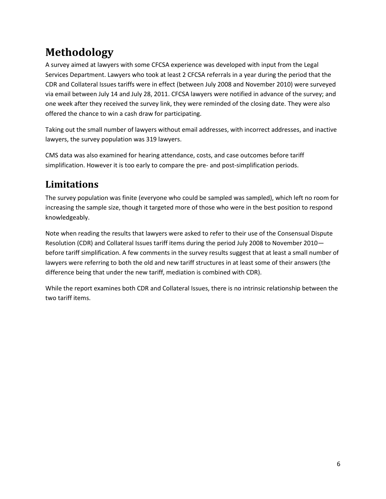## <span id="page-7-0"></span>**Methodology**

A survey aimed at lawyers with some CFCSA experience was developed with input from the Legal Services Department. Lawyers who took at least 2 CFCSA referrals in a year during the period that the CDR and Collateral Issues tariffs were in effect (between July 2008 and November 2010) were surveyed via email between July 14 and July 28, 2011. CFCSA lawyers were notified in advance of the survey; and one week after they received the survey link, they were reminded of the closing date. They were also offered the chance to win a cash draw for participating.

Taking out the small number of lawyers without email addresses, with incorrect addresses, and inactive lawyers, the survey population was 319 lawyers.

CMS data was also examined for hearing attendance, costs, and case outcomes before tariff simplification. However it is too early to compare the pre- and post-simplification periods.

## <span id="page-7-1"></span>**Limitations**

The survey population was finite (everyone who could be sampled was sampled), which left no room for increasing the sample size, though it targeted more of those who were in the best position to respond knowledgeably.

Note when reading the results that lawyers were asked to refer to their use of the Consensual Dispute Resolution (CDR) and Collateral Issues tariff items during the period July 2008 to November 2010 before tariff simplification. A few comments in the survey results suggest that at least a small number of lawyers were referring to both the old and new tariff structures in at least some of their answers (the difference being that under the new tariff, mediation is combined with CDR).

While the report examines both CDR and Collateral Issues, there is no intrinsic relationship between the two tariff items.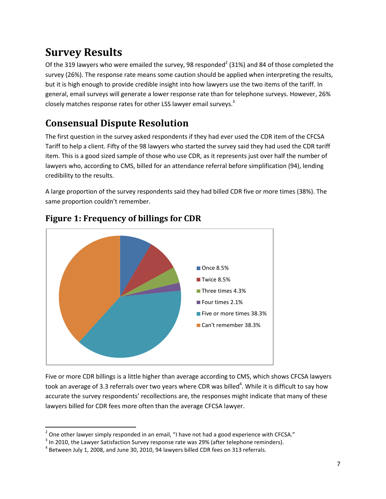## <span id="page-8-0"></span>**Survey Results**

Of the 319 lawyers who were emailed the survey, 98 responded<sup>2</sup> (31%) and 84 of those completed the survey (26%). The response rate means some caution should be applied when interpreting the results, but it is high enough to provide credible insight into how lawyers use the two items of the tariff. In general, email surveys will generate a lower response rate than for telephone surveys. However, 26% closely matches response rates for other LSS lawyer email surveys.<sup>3</sup>

## <span id="page-8-1"></span>**Consensual Dispute Resolution**

The first question in the survey asked respondents if they had ever used the CDR item of the CFCSA Tariff to help a client. Fifty of the 98 lawyers who started the survey said they had used the CDR tariff item. This is a good sized sample of those who use CDR, as it represents just over half the number of lawyers who, according to CMS, billed for an attendance referral before simplification (94), lending credibility to the results.

A large proportion of the survey respondents said they had billed CDR five or more times (38%). The same proportion couldn't remember.



### **Figure 1: Frequency of billings for CDR**

Five or more CDR billings is a little higher than average according to CMS, which shows CFCSA lawyers took an average of 3.3 referrals over two years where CDR was billed<sup>4</sup>. While it is difficult to say how accurate the survey respondents' recollections are, the responses might indicate that many of these lawyers billed for CDR fees more often than the average CFCSA lawyer.

 $\overline{\phantom{a}}$  $^2$  One other lawyer simply responded in an email, "I have not had a good experience with CFCSA."

 $^3$  In 2010, the Lawyer Satisfaction Survey response rate was 29% (after telephone reminders).

 $^4$  Between July 1, 2008, and June 30, 2010, 94 lawyers billed CDR fees on 313 referrals.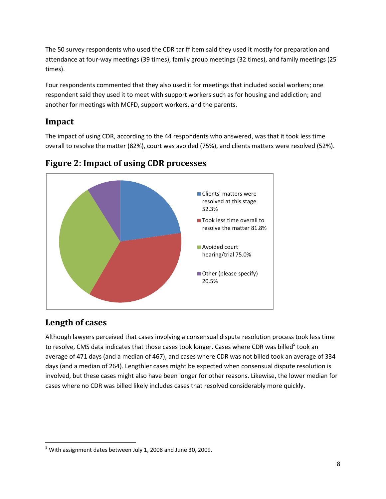The 50 survey respondents who used the CDR tariff item said they used it mostly for preparation and attendance at four-way meetings (39 times), family group meetings (32 times), and family meetings (25 times).

Four respondents commented that they also used it for meetings that included social workers; one respondent said they used it to meet with support workers such as for housing and addiction; and another for meetings with MCFD, support workers, and the parents.

#### **Impact**

The impact of using CDR, according to the 44 respondents who answered, was that it took less time overall to resolve the matter (82%), court was avoided (75%), and clients matters were resolved (52%).



### **Figure 2: Impact of using CDR processes**

### **Length of cases**

Although lawyers perceived that cases involving a consensual dispute resolution process took less time to resolve, CMS data indicates that those cases took longer. Cases where CDR was billed<sup>5</sup> took an average of 471 days (and a median of 467), and cases where CDR was not billed took an average of 334 days (and a median of 264). Lengthier cases might be expected when consensual dispute resolution is involved, but these cases might also have been longer for other reasons. Likewise, the lower median for cases where no CDR was billed likely includes cases that resolved considerably more quickly.

 $\overline{\phantom{a}}$  $<sup>5</sup>$  With assignment dates between July 1, 2008 and June 30, 2009.</sup>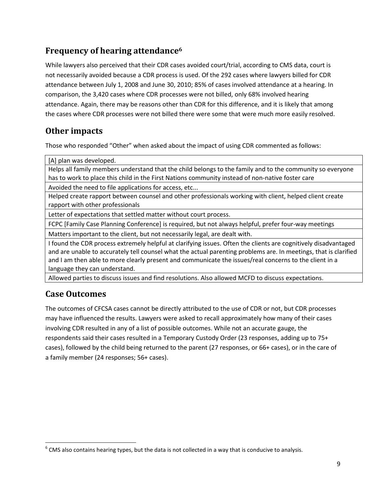### **Frequency of hearing attendance<sup>6</sup>**

While lawyers also perceived that their CDR cases avoided court/trial, according to CMS data, court is not necessarily avoided because a CDR process is used. Of the 292 cases where lawyers billed for CDR attendance between July 1, 2008 and June 30, 2010; 85% of cases involved attendance at a hearing. In comparison, the 3,420 cases where CDR processes were not billed, only 68% involved hearing attendance. Again, there may be reasons other than CDR for this difference, and it is likely that among the cases where CDR processes were not billed there were some that were much more easily resolved.

### **Other impacts**

Those who responded "Other" when asked about the impact of using CDR commented as follows:

[A] plan was developed.

Helps all family members understand that the child belongs to the family and to the community so everyone has to work to place this child in the First Nations community instead of non-native foster care

Avoided the need to file applications for access, etc...

Helped create rapport between counsel and other professionals working with client, helped client create rapport with other professionals

Letter of expectations that settled matter without court process.

FCPC [Family Case Planning Conference] is required, but not always helpful, prefer four-way meetings

Matters important to the client, but not necessarily legal, are dealt with.

I found the CDR process extremely helpful at clarifying issues. Often the clients are cognitively disadvantaged and are unable to accurately tell counsel what the actual parenting problems are. In meetings, that is clarified and I am then able to more clearly present and communicate the issues/real concerns to the client in a language they can understand.

Allowed parties to discuss issues and find resolutions. Also allowed MCFD to discuss expectations.

#### **Case Outcomes**

 $\overline{\phantom{a}}$ 

The outcomes of CFCSA cases cannot be directly attributed to the use of CDR or not, but CDR processes may have influenced the results. Lawyers were asked to recall approximately how many of their cases involving CDR resulted in any of a list of possible outcomes. While not an accurate gauge, the respondents said their cases resulted in a Temporary Custody Order (23 responses, adding up to 75+ cases), followed by the child being returned to the parent (27 responses, or 66+ cases), or in the care of a family member (24 responses; 56+ cases).

 $^6$  CMS also contains hearing types, but the data is not collected in a way that is conducive to analysis.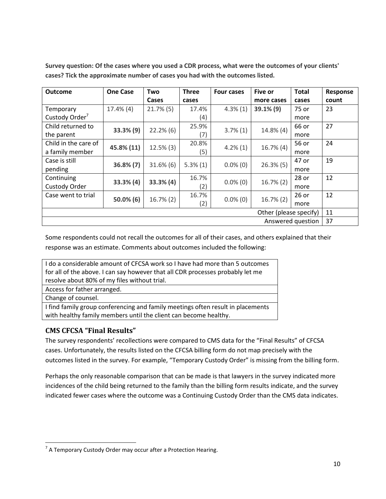| <b>Outcome</b>             | <b>One Case</b> | Two          | <b>Three</b> | <b>Four cases</b> | <b>Five or</b> | <b>Total</b> | Response |
|----------------------------|-----------------|--------------|--------------|-------------------|----------------|--------------|----------|
|                            |                 | Cases        | cases        |                   | more cases     | cases        | count    |
| Temporary                  | $17.4\%$ (4)    | $21.7\%$ (5) | 17.4%        | $4.3\%(1)$        | $39.1\%$ (9)   | 75 or        | 23       |
| Custody Order <sup>7</sup> |                 |              | (4)          |                   |                | more         |          |
| Child returned to          |                 | $22.2\%$ (6) | 25.9%        | $3.7\%(1)$        | $14.8\%$ (4)   | 66 or        | 27       |
| the parent                 | 33.3% (9)       |              | (7)          |                   |                | more         |          |
| Child in the care of       | 45.8% (11)      | $12.5\%$ (3) | 20.8%        | $4.2\%$ (1)       | $16.7\%$ (4)   | 56 or        | 24       |
| a family member            |                 |              | (5)          |                   |                | more         |          |
| Case is still              | $36.8\% (7)$    | $31.6\%$ (6) | $5.3\%(1)$   | $0.0\%$ (0)       | $26.3\%$ (5)   | 47 or        | 19       |
| pending                    |                 |              |              |                   |                | more         |          |
| Continuing                 | $33.3\%$ (4)    | $33.3\%$ (4) | 16.7%        | $0.0\%$ (0)       | $16.7\%$ (2)   | 28 or        | 12       |
| Custody Order              |                 |              | (2)          |                   |                | more         |          |
| Case went to trial         |                 | $16.7\%$ (2) | 16.7%        | $0.0\%$ (0)       | $16.7\%$ (2)   | 26 or        | 12       |
|                            | $50.0\%$ (6)    |              | (2)          |                   |                | more         |          |
| Other (please specify)     |                 |              |              |                   | 11             |              |          |
| 37<br>Answered question    |                 |              |              |                   |                |              |          |

**Survey question: Of the cases where you used a CDR process, what were the outcomes of your clients' cases? Tick the approximate number of cases you had with the outcomes listed.**

Some respondents could not recall the outcomes for all of their cases, and others explained that their response was an estimate. Comments about outcomes included the following:

I do a considerable amount of CFCSA work so I have had more than 5 outcomes for all of the above. I can say however that all CDR processes probably let me resolve about 80% of my files without trial. Access for father arranged. Change of counsel.

I find family group conferencing and family meetings often result in placements with healthy family members until the client can become healthy.

#### **CMS CFCSA "Final Results"**

The survey respondents' recollections were compared to CMS data for the "Final Results" of CFCSA cases. Unfortunately, the results listed on the CFCSA billing form do not map precisely with the outcomes listed in the survey. For example, "Temporary Custody Order" is missing from the billing form.

Perhaps the only reasonable comparison that can be made is that lawyers in the survey indicated more incidences of the child being returned to the family than the billing form results indicate, and the survey indicated fewer cases where the outcome was a Continuing Custody Order than the CMS data indicates.

 $\overline{\phantom{a}}$  $^7$  A Temporary Custody Order may occur after a Protection Hearing.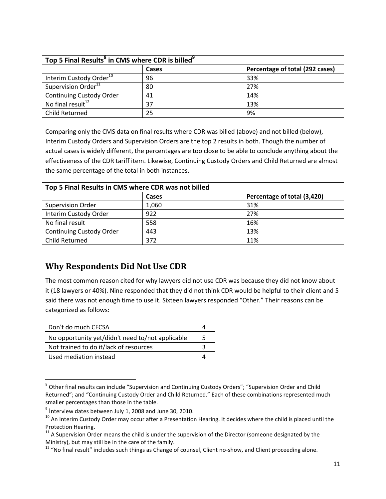| Top 5 Final Results <sup>8</sup> in CMS where CDR is billed <sup>9</sup> |       |                                 |  |  |
|--------------------------------------------------------------------------|-------|---------------------------------|--|--|
|                                                                          | Cases | Percentage of total (292 cases) |  |  |
| Interim Custody Order <sup>10</sup>                                      | 96    | 33%                             |  |  |
| Supervision Order <sup>11</sup>                                          | 80    | 27%                             |  |  |
| <b>Continuing Custody Order</b>                                          | 41    | 14%                             |  |  |
| No final result <sup>12</sup>                                            | 37    | 13%                             |  |  |
| Child Returned                                                           | 25    | 9%                              |  |  |

Comparing only the CMS data on final results where CDR was billed (above) and not billed (below), Interim Custody Orders and Supervision Orders are the top 2 results in both. Though the number of actual cases is widely different, the percentages are too close to be able to conclude anything about the effectiveness of the CDR tariff item. Likewise, Continuing Custody Orders and Child Returned are almost the same percentage of the total in both instances.

| Top 5 Final Results in CMS where CDR was not billed |       |                             |  |
|-----------------------------------------------------|-------|-----------------------------|--|
|                                                     | Cases | Percentage of total (3,420) |  |
| Supervision Order                                   | 1,060 | 31%                         |  |
| Interim Custody Order                               | 922   | 27%                         |  |
| No final result                                     | 558   | 16%                         |  |
| <b>Continuing Custody Order</b>                     | 443   | 13%                         |  |
| Child Returned                                      | 372   | 11%                         |  |

### **Why Respondents Did Not Use CDR**

The most common reason cited for why lawyers did not use CDR was because they did not know about it (18 lawyers or 40%). Nine responded that they did not think CDR would be helpful to their client and 5 said there was not enough time to use it. Sixteen lawyers responded "Other." Their reasons can be categorized as follows:

| Don't do much CFCSA                              |   |
|--------------------------------------------------|---|
| No opportunity yet/didn't need to/not applicable | 5 |
| Not trained to do it/lack of resources           |   |
| Used mediation instead                           |   |

 $\overline{\phantom{a}}$ <sup>8</sup> Other final results can include "Supervision and Continuing Custody Orders"; "Supervision Order and Child Returned"; and "Continuing Custody Order and Child Returned." Each of these combinations represented much smaller percentages than those in the table.

 $^9$  Interview dates between July 1, 2008 and June 30, 2010.

 $10$  An Interim Custody Order may occur after a Presentation Hearing. It decides where the child is placed until the Protection Hearing.

 $11$  A Supervision Order means the child is under the supervision of the Director (someone designated by the Ministry), but may still be in the care of the family.

 $12$  "No final result" includes such things as Change of counsel, Client no-show, and Client proceeding alone.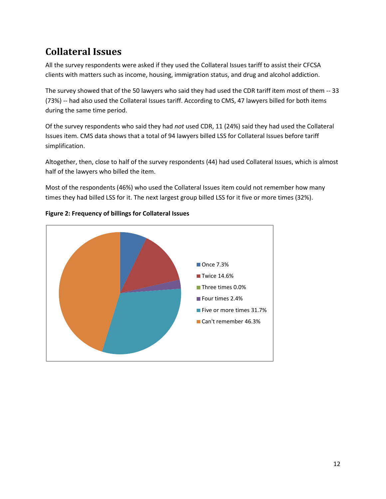## <span id="page-13-0"></span>**Collateral Issues**

All the survey respondents were asked if they used the Collateral Issues tariff to assist their CFCSA clients with matters such as income, housing, immigration status, and drug and alcohol addiction.

The survey showed that of the 50 lawyers who said they had used the CDR tariff item most of them -- 33 (73%) -- had also used the Collateral Issues tariff. According to CMS, 47 lawyers billed for both items during the same time period.

Of the survey respondents who said they had *not* used CDR, 11 (24%) said they had used the Collateral Issues item. CMS data shows that a total of 94 lawyers billed LSS for Collateral Issues before tariff simplification.

Altogether, then, close to half of the survey respondents (44) had used Collateral Issues, which is almost half of the lawyers who billed the item.

Most of the respondents (46%) who used the Collateral Issues item could not remember how many times they had billed LSS for it. The next largest group billed LSS for it five or more times (32%).



#### **Figure 2: Frequency of billings for Collateral Issues**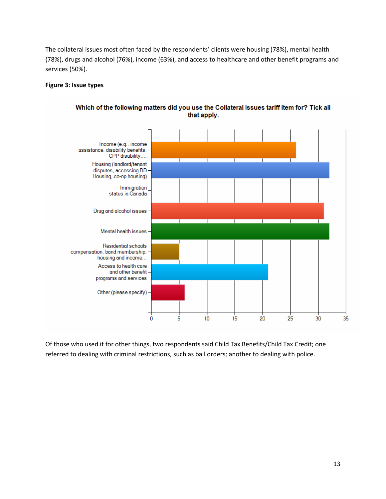The collateral issues most often faced by the respondents' clients were housing (78%), mental health (78%), drugs and alcohol (76%), income (63%), and access to healthcare and other benefit programs and services (50%).

#### **Figure 3: Issue types**



Which of the following matters did you use the Collateral Issues tariff item for? Tick all that apply.

Of those who used it for other things, two respondents said Child Tax Benefits/Child Tax Credit; one referred to dealing with criminal restrictions, such as bail orders; another to dealing with police.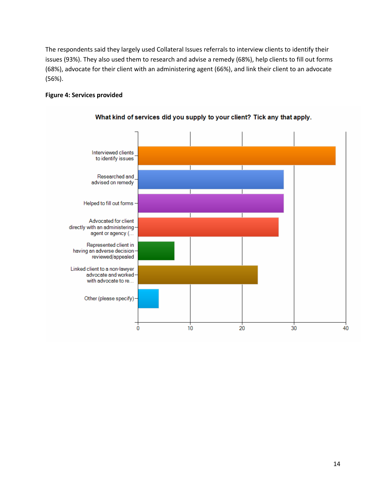The respondents said they largely used Collateral Issues referrals to interview clients to identify their issues (93%). They also used them to research and advise a remedy (68%), help clients to fill out forms (68%), advocate for their client with an administering agent (66%), and link their client to an advocate (56%).

#### **Figure 4: Services provided**



#### What kind of services did you supply to your client? Tick any that apply.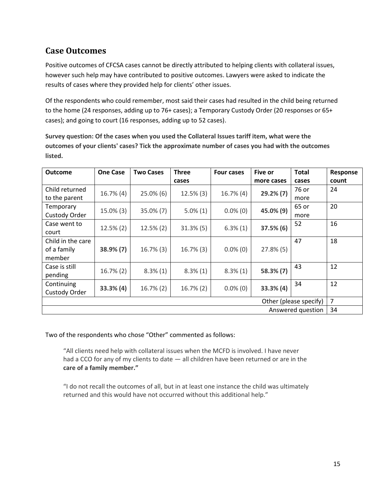### **Case Outcomes**

Positive outcomes of CFCSA cases cannot be directly attributed to helping clients with collateral issues, however such help may have contributed to positive outcomes. Lawyers were asked to indicate the results of cases where they provided help for clients' other issues.

Of the respondents who could remember, most said their cases had resulted in the child being returned to the home (24 responses, adding up to 76+ cases); a Temporary Custody Order (20 responses or 65+ cases); and going to court (16 responses, adding up to 52 cases).

**Survey question: Of the cases when you used the Collateral Issues tariff item, what were the outcomes of your clients' cases? Tick the approximate number of cases you had with the outcomes listed.**

| <b>Outcome</b>         | <b>One Case</b> | <b>Two Cases</b> | <b>Three</b> | Four cases   | Five or        | <b>Total</b> | Response |
|------------------------|-----------------|------------------|--------------|--------------|----------------|--------------|----------|
|                        |                 |                  | cases        |              | more cases     | cases        | count    |
| Child returned         | $16.7\%$ (4)    | $25.0\%$ (6)     | $12.5\%$ (3) | $16.7\%$ (4) | $29.2\%$ (7)   | 76 or        | 24       |
| to the parent          |                 |                  |              |              |                | more         |          |
| Temporary              |                 |                  |              | $0.0\%$ (0)  | 45.0% (9)      | 65 or        | 20       |
| Custody Order          | 15.0% (3)       | $35.0\%$ (7)     | $5.0\%(1)$   |              |                | more         |          |
| Case went to           |                 |                  |              |              |                | 52           | 16       |
| court                  | $12.5\%$ (2)    | $12.5\%$ (2)     | $31.3\%$ (5) | $6.3\%(1)$   | 37.5% (6)      |              |          |
| Child in the care      |                 |                  |              |              |                | 47           | 18       |
| of a family            | 38.9% (7)       | $16.7\%$ (3)     | $16.7\%$ (3) | $0.0\%$ (0)  | $27.8\%$ (5)   |              |          |
| member                 |                 |                  |              |              |                |              |          |
| Case is still          |                 |                  |              |              | 58.3% (7)      | 43           | 12       |
| pending                | $16.7\%$ (2)    | $8.3\%(1)$       | $8.3\%(1)$   | $8.3\%(1)$   |                |              |          |
| Continuing             |                 |                  |              |              |                | 34           | 12       |
| Custody Order          | 33.3%(4)        | $16.7\%$ (2)     | $16.7\%$ (2) | $0.0\%$ (0)  | 33.3%(4)       |              |          |
| Other (please specify) |                 |                  |              |              | $\overline{7}$ |              |          |
| Answered question      |                 |                  |              |              | 34             |              |          |

Two of the respondents who chose "Other" commented as follows:

"All clients need help with collateral issues when the MCFD is involved. I have never had a CCO for any of my clients to date — all children have been returned or are in the **care of a family member."**

"I do not recall the outcomes of all, but in at least one instance the child was ultimately returned and this would have not occurred without this additional help."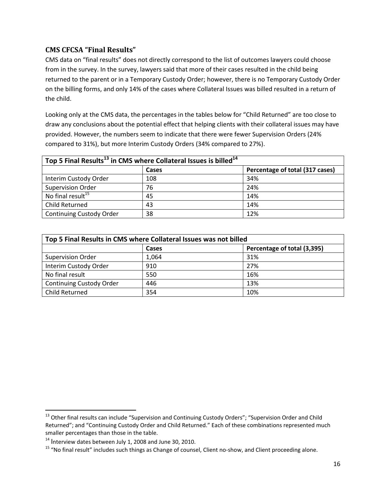#### **CMS CFCSA "Final Results"**

CMS data on "final results" does not directly correspond to the list of outcomes lawyers could choose from in the survey. In the survey, lawyers said that more of their cases resulted in the child being returned to the parent or in a Temporary Custody Order; however, there is no Temporary Custody Order on the billing forms, and only 14% of the cases where Collateral Issues was billed resulted in a return of the child.

Looking only at the CMS data, the percentages in the tables below for "Child Returned" are too close to draw any conclusions about the potential effect that helping clients with their collateral issues may have provided. However, the numbers seem to indicate that there were fewer Supervision Orders (24% compared to 31%), but more Interim Custody Orders (34% compared to 27%).

| Top 5 Final Results <sup>13</sup> in CMS where Collateral Issues is billed <sup>14</sup> |       |                                 |  |
|------------------------------------------------------------------------------------------|-------|---------------------------------|--|
|                                                                                          | Cases | Percentage of total (317 cases) |  |
| Interim Custody Order                                                                    | 108   | 34%                             |  |
| <b>Supervision Order</b>                                                                 | 76    | 24%                             |  |
| No final result <sup>15</sup>                                                            | 45    | 14%                             |  |
| Child Returned                                                                           | 43    | 14%                             |  |
| <b>Continuing Custody Order</b>                                                          | 38    | 12%                             |  |

| Top 5 Final Results in CMS where Collateral Issues was not billed |       |                             |  |
|-------------------------------------------------------------------|-------|-----------------------------|--|
|                                                                   | Cases | Percentage of total (3,395) |  |
| <b>Supervision Order</b>                                          | 1,064 | 31%                         |  |
| Interim Custody Order                                             | 910   | 27%                         |  |
| No final result                                                   | 550   | 16%                         |  |
| <b>Continuing Custody Order</b>                                   | 446   | 13%                         |  |
| Child Returned                                                    | 354   | 10%                         |  |

 $\overline{a}$ 

<sup>&</sup>lt;sup>13</sup> Other final results can include "Supervision and Continuing Custody Orders"; "Supervision Order and Child Returned"; and "Continuing Custody Order and Child Returned." Each of these combinations represented much smaller percentages than those in the table.

<sup>&</sup>lt;sup>14</sup> Interview dates between July 1, 2008 and June 30, 2010.

<sup>&</sup>lt;sup>15</sup> "No final result" includes such things as Change of counsel, Client no-show, and Client proceeding alone.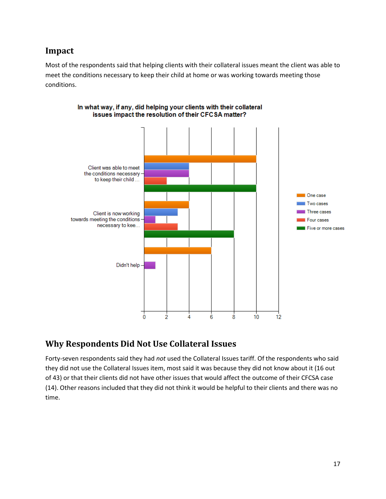#### **Impact**

Most of the respondents said that helping clients with their collateral issues meant the client was able to meet the conditions necessary to keep their child at home or was working towards meeting those conditions.



#### In what way, if any, did helping your clients with their collateral issues impact the resolution of their CFCSA matter?

### **Why Respondents Did Not Use Collateral Issues**

Forty-seven respondents said they had *not* used the Collateral Issues tariff. Of the respondents who said they did not use the Collateral Issues item, most said it was because they did not know about it (16 out of 43) or that their clients did not have other issues that would affect the outcome of their CFCSA case (14). Other reasons included that they did not think it would be helpful to their clients and there was no time.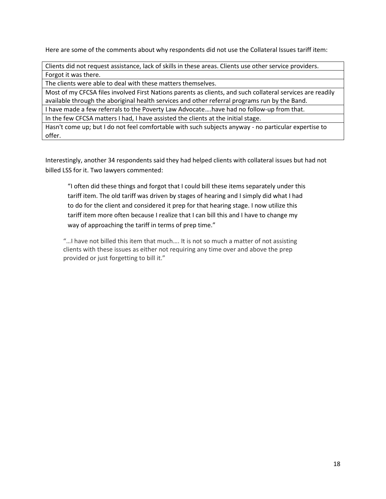Here are some of the comments about why respondents did not use the Collateral Issues tariff item:

Clients did not request assistance, lack of skills in these areas. Clients use other service providers. Forgot it was there.

The clients were able to deal with these matters themselves.

Most of my CFCSA files involved First Nations parents as clients, and such collateral services are readily available through the aboriginal health services and other referral programs run by the Band.

I have made a few referrals to the Poverty Law Advocate….have had no follow-up from that.

In the few CFCSA matters I had, I have assisted the clients at the initial stage.

Hasn't come up; but I do not feel comfortable with such subjects anyway - no particular expertise to offer.

Interestingly, another 34 respondents said they had helped clients with collateral issues but had not billed LSS for it. Two lawyers commented:

"I often did these things and forgot that I could bill these items separately under this tariff item. The old tariff was driven by stages of hearing and I simply did what I had to do for the client and considered it prep for that hearing stage. I now utilize this tariff item more often because I realize that I can bill this and I have to change my way of approaching the tariff in terms of prep time."

"…I have not billed this item that much…. It is not so much a matter of not assisting clients with these issues as either not requiring any time over and above the prep provided or just forgetting to bill it."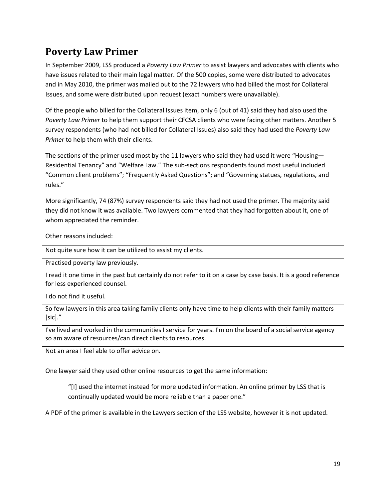### <span id="page-20-0"></span>**Poverty Law Primer**

In September 2009, LSS produced a *Poverty Law Primer* to assist lawyers and advocates with clients who have issues related to their main legal matter. Of the 500 copies, some were distributed to advocates and in May 2010, the primer was mailed out to the 72 lawyers who had billed the most for Collateral Issues, and some were distributed upon request (exact numbers were unavailable).

Of the people who billed for the Collateral Issues item, only 6 (out of 41) said they had also used the *Poverty Law Primer* to help them support their CFCSA clients who were facing other matters. Another 5 survey respondents (who had not billed for Collateral Issues) also said they had used the *Poverty Law Primer* to help them with their clients.

The sections of the primer used most by the 11 lawyers who said they had used it were "Housing— Residential Tenancy" and "Welfare Law." The sub-sections respondents found most useful included "Common client problems"; "Frequently Asked Questions"; and "Governing statues, regulations, and rules."

More significantly, 74 (87%) survey respondents said they had not used the primer. The majority said they did not know it was available. Two lawyers commented that they had forgotten about it, one of whom appreciated the reminder.

Other reasons included:

Not quite sure how it can be utilized to assist my clients.

Practised poverty law previously.

I read it one time in the past but certainly do not refer to it on a case by case basis. It is a good reference for less experienced counsel.

I do not find it useful.

So few lawyers in this area taking family clients only have time to help clients with their family matters  $[sic]."$ 

I've lived and worked in the communities I service for years. I'm on the board of a social service agency so am aware of resources/can direct clients to resources.

Not an area I feel able to offer advice on.

One lawyer said they used other online resources to get the same information:

"[I] used the internet instead for more updated information. An online primer by LSS that is continually updated would be more reliable than a paper one."

A PDF of the primer is available in the Lawyers section of the LSS website, however it is not updated.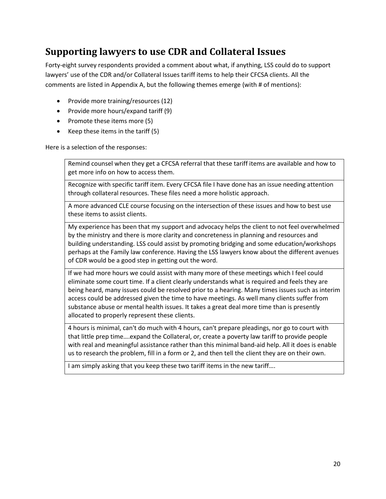## <span id="page-21-0"></span>**Supporting lawyers to use CDR and Collateral Issues**

Forty-eight survey respondents provided a comment about what, if anything, LSS could do to support lawyers' use of the CDR and/or Collateral Issues tariff items to help their CFCSA clients. All the comments are listed in Appendix A, but the following themes emerge (with # of mentions):

- Provide more training/resources (12)
- Provide more hours/expand tariff (9)
- Promote these items more (5)
- $\bullet$  Keep these items in the tariff (5)

Here is a selection of the responses:

Remind counsel when they get a CFCSA referral that these tariff items are available and how to get more info on how to access them.

Recognize with specific tariff item. Every CFCSA file I have done has an issue needing attention through collateral resources. These files need a more holistic approach.

A more advanced CLE course focusing on the intersection of these issues and how to best use these items to assist clients.

My experience has been that my support and advocacy helps the client to not feel overwhelmed by the ministry and there is more clarity and concreteness in planning and resources and building understanding. LSS could assist by promoting bridging and some education/workshops perhaps at the Family law conference. Having the LSS lawyers know about the different avenues of CDR would be a good step in getting out the word.

If we had more hours we could assist with many more of these meetings which I feel could eliminate some court time. If a client clearly understands what is required and feels they are being heard, many issues could be resolved prior to a hearing. Many times issues such as interim access could be addressed given the time to have meetings. As well many clients suffer from substance abuse or mental health issues. It takes a great deal more time than is presently allocated to properly represent these clients.

4 hours is minimal, can't do much with 4 hours, can't prepare pleadings, nor go to court with that little prep time….expand the Collateral, or, create a poverty law tariff to provide people with real and meaningful assistance rather than this minimal band-aid help. All it does is enable us to research the problem, fill in a form or 2, and then tell the client they are on their own.

I am simply asking that you keep these two tariff items in the new tariff….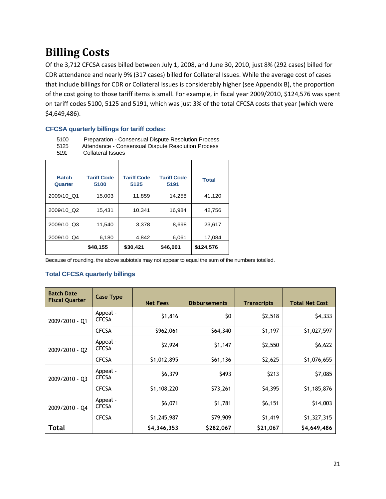## <span id="page-22-0"></span>**Billing Costs**

Of the 3,712 CFCSA cases billed between July 1, 2008, and June 30, 2010, just 8% (292 cases) billed for CDR attendance and nearly 9% (317 cases) billed for Collateral Issues. While the average cost of cases that include billings for CDR or Collateral Issues is considerably higher (see Appendix B), the proportion of the cost going to those tariff items is small. For example, in fiscal year 2009/2010, \$124,576 was spent on tariff codes 5100, 5125 and 5191, which was just 3% of the total CFCSA costs that year (which were \$4,649,486).

#### **CFCSA quarterly billings for tariff codes:**

| 5100 | Preparation - Consensual Dispute Resolution Process |
|------|-----------------------------------------------------|
| 5125 | Attendance - Consensual Dispute Resolution Process  |
| 5191 | <b>Collateral Issues</b>                            |

| <b>Batch</b><br>Quarter | <b>Tariff Code</b><br>5100 | <b>Tariff Code</b><br>5125 | <b>Tariff Code</b><br>5191 | <b>Total</b> |
|-------------------------|----------------------------|----------------------------|----------------------------|--------------|
| 2009/10 Q1              | 15,003                     | 11,859                     | 14,258                     | 41,120       |
| 2009/10 Q2              | 15,431                     | 10.341                     | 16,984                     | 42.756       |
| 2009/10_Q3              | 11,540                     | 3,378                      | 8,698                      | 23,617       |
| 2009/10_Q4              | 6,180                      | 4.842                      | 6,061                      | 17.084       |
|                         | \$48,155                   | \$30,421                   | \$46,001                   | \$124,576    |

Because of rounding, the above subtotals may not appear to equal the sum of the numbers totalled.

#### **Total CFCSA quarterly billings**

| <b>Batch Date</b><br><b>Fiscal Quarter</b> | <b>Case Type</b>         | <b>Net Fees</b> | <b>Disbursements</b> | <b>Transcripts</b> | <b>Total Net Cost</b> |
|--------------------------------------------|--------------------------|-----------------|----------------------|--------------------|-----------------------|
| 2009/2010 - Q1                             | Appeal -<br><b>CFCSA</b> | \$1,816         | \$0                  | \$2,518            | \$4,333               |
|                                            | <b>CFCSA</b>             | \$962,061       | \$64,340             | \$1,197            | \$1,027,597           |
| 2009/2010 - Q2                             | Appeal -<br><b>CFCSA</b> | \$2,924         | \$1,147              | \$2,550            | \$6,622               |
|                                            | <b>CFCSA</b>             | \$1,012,895     | \$61,136             | \$2,625            | \$1,076,655           |
| 2009/2010 - Q3                             | Appeal -<br><b>CFCSA</b> | \$6,379         | \$493                | \$213              | \$7,085               |
|                                            | <b>CFCSA</b>             | \$1,108,220     | \$73,261             | \$4,395            | \$1,185,876           |
| 2009/2010 - Q4                             | Appeal -<br><b>CFCSA</b> | \$6,071         | \$1,781              | \$6,151            | \$14,003              |
|                                            | <b>CFCSA</b>             | \$1,245,987     | \$79,909             | \$1,419            | \$1,327,315           |
| Total                                      |                          | \$4,346,353     | \$282,067            | \$21,067           | \$4,649,486           |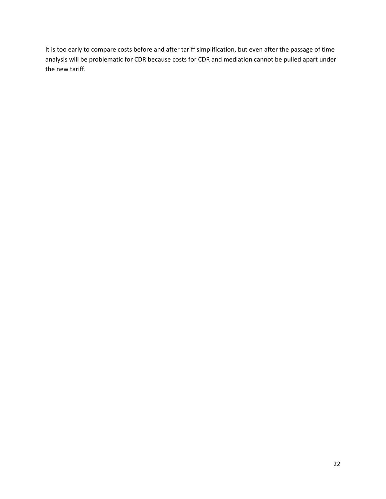It is too early to compare costs before and after tariff simplification, but even after the passage of time analysis will be problematic for CDR because costs for CDR and mediation cannot be pulled apart under the new tariff.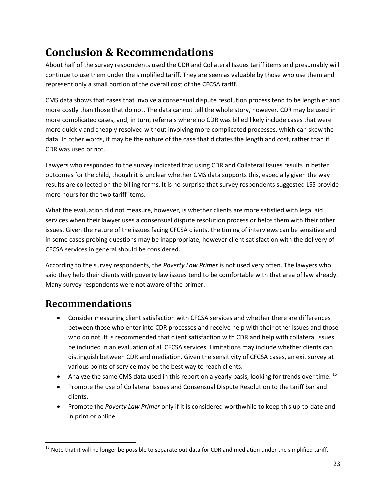## <span id="page-24-0"></span>**Conclusion & Recommendations**

About half of the survey respondents used the CDR and Collateral Issues tariff items and presumably will continue to use them under the simplified tariff. They are seen as valuable by those who use them and represent only a small portion of the overall cost of the CFCSA tariff.

CMS data shows that cases that involve a consensual dispute resolution process tend to be lengthier and more costly than those that do not. The data cannot tell the whole story, however. CDR may be used in more complicated cases, and, in turn, referrals where no CDR was billed likely include cases that were more quickly and cheaply resolved without involving more complicated processes, which can skew the data. In other words, it may be the nature of the case that dictates the length and cost, rather than if CDR was used or not.

Lawyers who responded to the survey indicated that using CDR and Collateral Issues results in better outcomes for the child, though it is unclear whether CMS data supports this, especially given the way results are collected on the billing forms. It is no surprise that survey respondents suggested LSS provide more hours for the two tariff items.

What the evaluation did not measure, however, is whether clients are more satisfied with legal aid services when their lawyer uses a consensual dispute resolution process or helps them with their other issues. Given the nature of the issues facing CFCSA clients, the timing of interviews can be sensitive and in some cases probing questions may be inappropriate, however client satisfaction with the delivery of CFCSA services in general should be considered.

According to the survey respondents, the *Poverty Law Primer* is not used very often. The lawyers who said they help their clients with poverty law issues tend to be comfortable with that area of law already. Many survey respondents were not aware of the primer.

## <span id="page-24-1"></span>**Recommendations**

- Consider measuring client satisfaction with CFCSA services and whether there are differences between those who enter into CDR processes and receive help with their other issues and those who do not. It is recommended that client satisfaction with CDR and help with collateral issues be included in an evaluation of all CFCSA services. Limitations may include whether clients can distinguish between CDR and mediation. Given the sensitivity of CFCSA cases, an exit survey at various points of service may be the best way to reach clients.
- Analyze the same CMS data used in this report on a yearly basis, looking for trends over time.  $^{16}$
- Promote the use of Collateral Issues and Consensual Dispute Resolution to the tariff bar and clients.
- Promote the *Poverty Law Primer* only if it is considered worthwhile to keep this up-to-date and in print or online.

 $\overline{\phantom{a}}$  $16$  Note that it will no longer be possible to separate out data for CDR and mediation under the simplified tariff.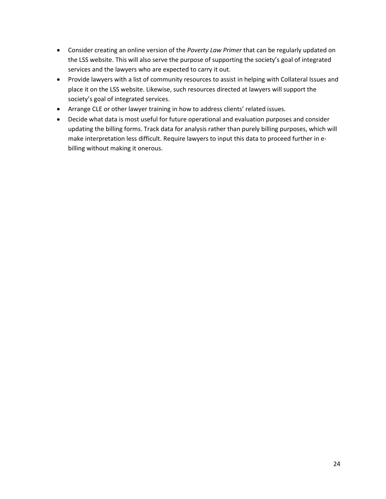- Consider creating an online version of the *Poverty Law Primer* that can be regularly updated on the LSS website. This will also serve the purpose of supporting the society's goal of integrated services and the lawyers who are expected to carry it out.
- Provide lawyers with a list of community resources to assist in helping with Collateral Issues and place it on the LSS website. Likewise, such resources directed at lawyers will support the society's goal of integrated services.
- Arrange CLE or other lawyer training in how to address clients' related issues.
- Decide what data is most useful for future operational and evaluation purposes and consider updating the billing forms. Track data for analysis rather than purely billing purposes, which will make interpretation less difficult. Require lawyers to input this data to proceed further in ebilling without making it onerous.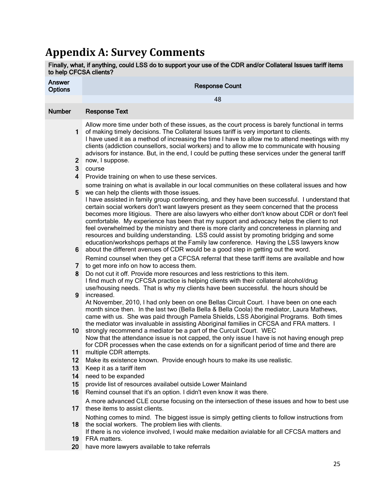## <span id="page-26-0"></span>**Appendix A: Survey Comments**

| to help CFCSA clients?             | Finally, what, if anything, could LSS do to support your use of the CDR and/or Collateral Issues tariff items                                                                                                                                                                                                                                                                                                                                                                                                                                                                                                                                                                                                          |
|------------------------------------|------------------------------------------------------------------------------------------------------------------------------------------------------------------------------------------------------------------------------------------------------------------------------------------------------------------------------------------------------------------------------------------------------------------------------------------------------------------------------------------------------------------------------------------------------------------------------------------------------------------------------------------------------------------------------------------------------------------------|
| <b>Answer</b><br><b>Options</b>    | <b>Response Count</b>                                                                                                                                                                                                                                                                                                                                                                                                                                                                                                                                                                                                                                                                                                  |
|                                    | 48                                                                                                                                                                                                                                                                                                                                                                                                                                                                                                                                                                                                                                                                                                                     |
| <b>Number</b>                      | <b>Response Text</b>                                                                                                                                                                                                                                                                                                                                                                                                                                                                                                                                                                                                                                                                                                   |
| $\mathbf 1$<br>2 <sub>2</sub><br>3 | Allow more time under both of these issues, as the court process is barely functional in terms<br>of making timely decisions. The Collateral Issues tariff is very important to clients.<br>I have used it as a method of increasing the time I have to allow me to attend meetings with my<br>clients (addiction counsellors, social workers) and to allow me to communicate with housing<br>advisors for instance. But, in the end, I could be putting these services under the general tariff<br>now, I suppose.<br>course                                                                                                                                                                                          |
| $\overline{\mathbf{4}}$            | Provide training on when to use these services.                                                                                                                                                                                                                                                                                                                                                                                                                                                                                                                                                                                                                                                                        |
|                                    | some training on what is available in our local communities on these collateral issues and how                                                                                                                                                                                                                                                                                                                                                                                                                                                                                                                                                                                                                         |
| 5                                  | we can help the clients with those issues.<br>I have assisted in family group conferencing, and they have been successful. I understand that<br>certain social workers don't want lawyers present as they seem concerned that the process<br>becomes more litigious. There are also lawyers who either don't know about CDR or don't feel<br>comfortable. My experience has been that my support and advocacy helps the client to not<br>feel overwhelmed by the ministry and there is more clarity and concreteness in planning and<br>resources and building understanding. LSS could assist by promoting bridging and some<br>education/workshops perhaps at the Family law conference. Having the LSS lawyers know |
| 6                                  | about the different avenues of CDR would be a good step in getting out the word.<br>Remind counsel when they get a CFCSA referral that these tariff items are available and how                                                                                                                                                                                                                                                                                                                                                                                                                                                                                                                                        |
| 7                                  | to get more info on how to access them.                                                                                                                                                                                                                                                                                                                                                                                                                                                                                                                                                                                                                                                                                |
| 8                                  | Do not cut it off. Provide more resources and less restrictions to this item.<br>I find much of my CFCSA practice is helping clients with their collateral alcohol/drug<br>use/housing needs. That is why my clients have been successful. the hours should be                                                                                                                                                                                                                                                                                                                                                                                                                                                         |
| 9                                  | increased.<br>At November, 2010, I had only been on one Bellas Circuit Court. I have been on one each<br>month since then. In the last two (Bella Bella & Bella Coola) the mediator, Laura Mathews,<br>came with us. She was paid through Pamela Shields, LSS Aboriginal Programs. Both times<br>the mediator was invaluable in assisting Aboriginal families in CFCSA and FRA matters. I                                                                                                                                                                                                                                                                                                                              |
| 10 <sub>1</sub>                    | strongly recommend a mediator be a part of the Curcuit Court. WEC<br>Now that the attendance issue is not capped, the only issue I have is not having enough prep<br>for CDR processes when the case extends on for a significant period of time and there are                                                                                                                                                                                                                                                                                                                                                                                                                                                         |
| 11                                 | multiple CDR attempts.                                                                                                                                                                                                                                                                                                                                                                                                                                                                                                                                                                                                                                                                                                 |
| 12 <sup>2</sup>                    | Make its existence known. Provide enough hours to make its use realistic.                                                                                                                                                                                                                                                                                                                                                                                                                                                                                                                                                                                                                                              |
| 13 <sup>°</sup>                    | Keep it as a tariff item                                                                                                                                                                                                                                                                                                                                                                                                                                                                                                                                                                                                                                                                                               |
| 14                                 | need to be expanded                                                                                                                                                                                                                                                                                                                                                                                                                                                                                                                                                                                                                                                                                                    |
| 15 <sub>1</sub>                    | provide list of resources availabel outside Lower Mainland                                                                                                                                                                                                                                                                                                                                                                                                                                                                                                                                                                                                                                                             |
| 16                                 | Remind counsel that it's an option. I didn't even know it was there.                                                                                                                                                                                                                                                                                                                                                                                                                                                                                                                                                                                                                                                   |
| 17                                 | A more advanced CLE course focusing on the intersection of these issues and how to best use<br>these items to assist clients.                                                                                                                                                                                                                                                                                                                                                                                                                                                                                                                                                                                          |
| 18                                 | Nothing comes to mind. The biggest issue is simply getting clients to follow instructions from<br>the social workers. The problem lies with clients.                                                                                                                                                                                                                                                                                                                                                                                                                                                                                                                                                                   |
| 19                                 | If there is no violence involved, I would make medaition avialable for all CFCSA matters and<br>FRA matters.                                                                                                                                                                                                                                                                                                                                                                                                                                                                                                                                                                                                           |
|                                    | 20 have more lawyers available to take referrals                                                                                                                                                                                                                                                                                                                                                                                                                                                                                                                                                                                                                                                                       |
|                                    |                                                                                                                                                                                                                                                                                                                                                                                                                                                                                                                                                                                                                                                                                                                        |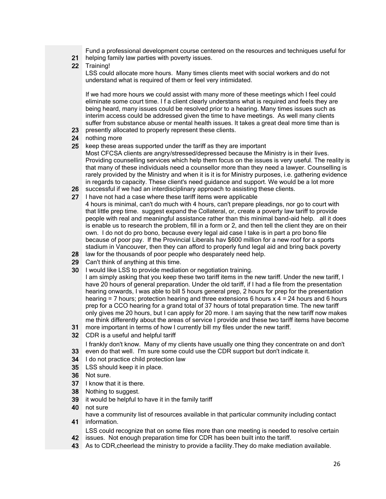Fund a professional development course centered on the resources and techniques useful for

- 21 helping family law parties with poverty issues.
- 22 Training!

LSS could allocate more hours. Many times clients meet with social workers and do not understand what is required of them or feel very intimidated.

If we had more hours we could assist with many more of these meetings which I feel could eliminate some court time. I f a client clearly understans what is required and feels they are being heard, many issues could be resolved prior to a hearing. Many times issues such as interim access could be addressed given the time to have meetings. As well many clients suffer from substance abuse or mental health issues. It takes a great deal more time than is

- 23 presently allocated to properly represent these clients.
- 24 nothing more
- 25 keep these areas supported under the tariff as they are important

Most CFCSA clients are angry/stressed/depressed because the Ministry is in their lives. Providing counselling services which help them focus on the issues is very useful. The reality is that many of these individuals need a counsellor more than they need a lawyer. Counselling is rarely provided by the Ministry and when it is it is for Ministry purposes, i.e. gathering evidence in regards to capacity. These client's need guidance and support. We would be a lot more

- 26 successful if we had an interdisciplinary approach to assisting these clients.
- 27 I have not had a case where these tariff items were applicable
- 4 hours is minimal, can't do much with 4 hours, can't prepare pleadings, nor go to court with that little prep time. suggest expand the Collateral, or, create a poverty law tariff to provide people with real and meaningful assistance rather than this minimal band-aid help. all it does is enable us to research the problem, fill in a form or 2, and then tell the client they are on their own. I do not do pro bono, because every legal aid case I take is in part a pro bono file because of poor pay. If the Provincial Liberals hav \$600 million for a new roof for a sports stadium in Vancouver, then they can afford to properly fund legal aid and bring back poverty
- 28 law for the thousands of poor people who desparately need help.
- 29 Can't think of anything at this time.
- 30 I would like LSS to provide mediation or negotiation training.
- I am simply asking that you keep these two tariff items in the new tariff. Under the new tariff, I have 20 hours of general preparation. Under the old tariff, if I had a file from the presentation hearing onwards, I was able to bill 5 hours general prep, 2 hours for prep for the presentation hearing = 7 hours; protection hearing and three extensions 6 hours x 4 = 24 hours and 6 hours prep for a CCO hearing for a grand total of 37 hours of total preparation time. The new tariff only gives me 20 hours, but I can apply for 20 more. I am saying that the new tariff now makes me think differently about the areas of service I provide and these two tariff items have become
- 31 more important in terms of how I currently bill my files under the new tariff.
- 32 CDR is a useful and helpful tariff

33 even do that well. I'm sure some could use the CDR support but don't indicate it. I frankly don't know. Many of my clients have usually one thing they concentrate on and don't

- 34 | I do not practice child protection law
- 35 LSS should keep it in place.
- 36 Not sure.
- 37 I know that it is there.
- 38 Nothing to suggest.
- 39 it would be helpful to have it in the family tariff
- 40 not sure
- 41 information. have a community list of resources available in that particular community including contact

42 issues. Not enough preparation time for CDR has been built into the tariff. LSS could recognize that on some files more than one meeting is needed to resolve certain

43 As to CDR,cheerlead the ministry to provide a facility.They do make mediation available.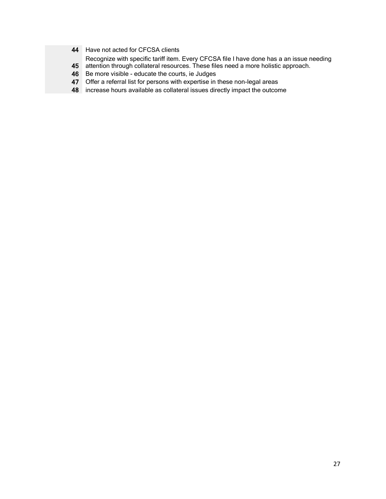- 44 Have not acted for CFCSA clients
- Recognize with specific tariff item. Every CFCSA file I have done has a an issue needing
- 45 attention through collateral resources. These files need a more holistic approach.
- 46 Be more visible educate the courts, ie Judges
- 47 Offer a referral list for persons with expertise in these non-legal areas
- 48 increase hours available as collateral issues directly impact the outcome